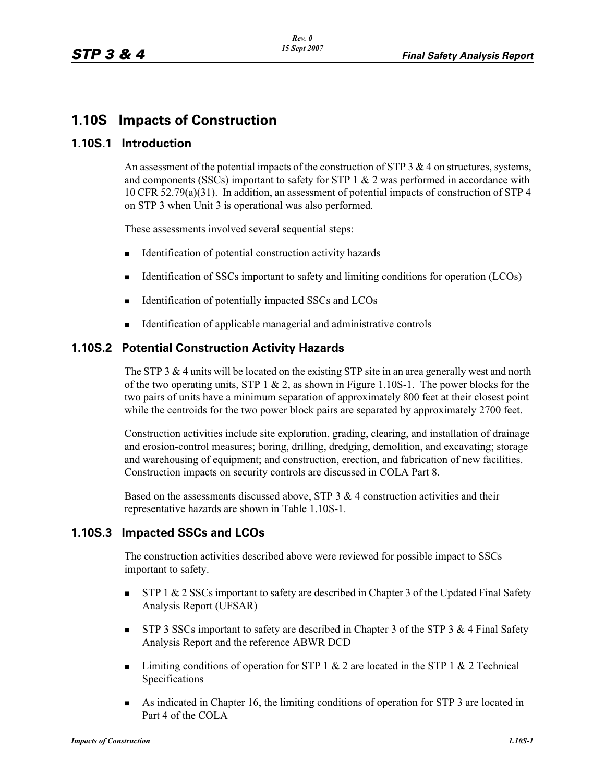# **1.10S Impacts of Construction**

#### **1.10S.1 Introduction**

An assessment of the potential impacts of the construction of STP  $3 \& 4$  on structures, systems, and components (SSCs) important to safety for STP  $1 \& 2$  was performed in accordance with 10 CFR 52.79(a)(31). In addition, an assessment of potential impacts of construction of STP 4 on STP 3 when Unit 3 is operational was also performed.

These assessments involved several sequential steps:

- -Identification of potential construction activity hazards
- -Identification of SSCs important to safety and limiting conditions for operation (LCOs)
- -Identification of potentially impacted SSCs and LCOs
- -Identification of applicable managerial and administrative controls

### **1.10S.2 Potential Construction Activity Hazards**

The STP 3  $&$  4 units will be located on the existing STP site in an area generally west and north of the two operating units, STP 1  $\&$  2, as shown in Figure 1.10S-1. The power blocks for the two pairs of units have a minimum separation of approximately 800 feet at their closest point while the centroids for the two power block pairs are separated by approximately 2700 feet.

Construction activities include site exploration, grading, clearing, and installation of drainage and erosion-control measures; boring, drilling, dredging, demolition, and excavating; storage and warehousing of equipment; and construction, erection, and fabrication of new facilities. Construction impacts on security controls are discussed in COLA Part 8.

Based on the assessments discussed above, STP  $3 \& 4$  construction activities and their representative hazards are shown in Table 1.10S-1.

### **1.10S.3 Impacted SSCs and LCOs**

The construction activities described above were reviewed for possible impact to SSCs important to safety.

- - STP 1 & 2 SSCs important to safety are described in Chapter 3 of the Updated Final Safety Analysis Report (UFSAR)
- - STP 3 SSCs important to safety are described in Chapter 3 of the STP 3 & 4 Final Safety Analysis Report and the reference ABWR DCD
- -Limiting conditions of operation for STP 1  $\&$  2 are located in the STP 1  $\&$  2 Technical Specifications
- - As indicated in Chapter 16, the limiting conditions of operation for STP 3 are located in Part 4 of the COLA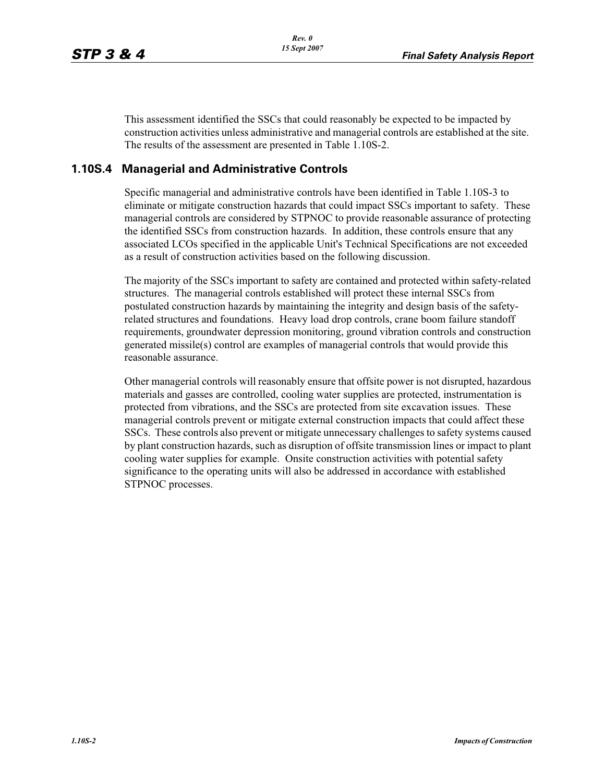This assessment identified the SSCs that could reasonably be expected to be impacted by construction activities unless administrative and managerial controls are established at the site. The results of the assessment are presented in Table 1.10S-2.

### **1.10S.4 Managerial and Administrative Controls**

Specific managerial and administrative controls have been identified in Table 1.10S-3 to eliminate or mitigate construction hazards that could impact SSCs important to safety. These managerial controls are considered by STPNOC to provide reasonable assurance of protecting the identified SSCs from construction hazards. In addition, these controls ensure that any associated LCOs specified in the applicable Unit's Technical Specifications are not exceeded as a result of construction activities based on the following discussion.

The majority of the SSCs important to safety are contained and protected within safety-related structures. The managerial controls established will protect these internal SSCs from postulated construction hazards by maintaining the integrity and design basis of the safetyrelated structures and foundations. Heavy load drop controls, crane boom failure standoff requirements, groundwater depression monitoring, ground vibration controls and construction generated missile(s) control are examples of managerial controls that would provide this reasonable assurance.

Other managerial controls will reasonably ensure that offsite power is not disrupted, hazardous materials and gasses are controlled, cooling water supplies are protected, instrumentation is protected from vibrations, and the SSCs are protected from site excavation issues. These managerial controls prevent or mitigate external construction impacts that could affect these SSCs. These controls also prevent or mitigate unnecessary challenges to safety systems caused by plant construction hazards, such as disruption of offsite transmission lines or impact to plant cooling water supplies for example. Onsite construction activities with potential safety significance to the operating units will also be addressed in accordance with established STPNOC processes.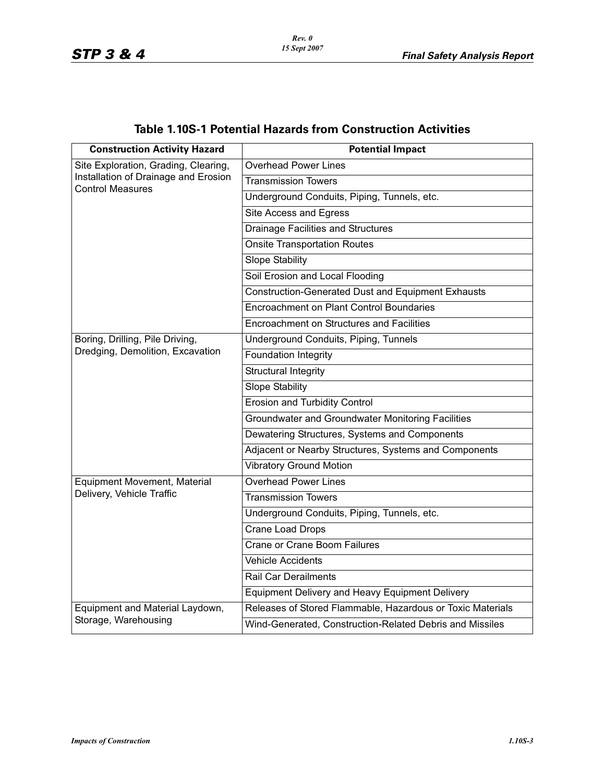| <b>Table 1.10S-1 Potential Hazards from Construction Activities</b> |  |  |
|---------------------------------------------------------------------|--|--|
|---------------------------------------------------------------------|--|--|

| <b>Construction Activity Hazard</b>                                                                     | <b>Potential Impact</b>                                    |
|---------------------------------------------------------------------------------------------------------|------------------------------------------------------------|
| Site Exploration, Grading, Clearing,<br>Installation of Drainage and Erosion<br><b>Control Measures</b> | <b>Overhead Power Lines</b>                                |
|                                                                                                         | <b>Transmission Towers</b>                                 |
|                                                                                                         | Underground Conduits, Piping, Tunnels, etc.                |
|                                                                                                         | Site Access and Egress                                     |
|                                                                                                         | <b>Drainage Facilities and Structures</b>                  |
|                                                                                                         | <b>Onsite Transportation Routes</b>                        |
|                                                                                                         | <b>Slope Stability</b>                                     |
|                                                                                                         | Soil Erosion and Local Flooding                            |
|                                                                                                         | Construction-Generated Dust and Equipment Exhausts         |
|                                                                                                         | <b>Encroachment on Plant Control Boundaries</b>            |
|                                                                                                         | Encroachment on Structures and Facilities                  |
| Boring, Drilling, Pile Driving,<br>Dredging, Demolition, Excavation                                     | Underground Conduits, Piping, Tunnels                      |
|                                                                                                         | <b>Foundation Integrity</b>                                |
|                                                                                                         | <b>Structural Integrity</b>                                |
|                                                                                                         | <b>Slope Stability</b>                                     |
|                                                                                                         | <b>Erosion and Turbidity Control</b>                       |
|                                                                                                         | Groundwater and Groundwater Monitoring Facilities          |
|                                                                                                         | Dewatering Structures, Systems and Components              |
|                                                                                                         | Adjacent or Nearby Structures, Systems and Components      |
|                                                                                                         | <b>Vibratory Ground Motion</b>                             |
| Equipment Movement, Material                                                                            | <b>Overhead Power Lines</b>                                |
| Delivery, Vehicle Traffic                                                                               | <b>Transmission Towers</b>                                 |
|                                                                                                         | Underground Conduits, Piping, Tunnels, etc.                |
|                                                                                                         | Crane Load Drops                                           |
|                                                                                                         | <b>Crane or Crane Boom Failures</b>                        |
|                                                                                                         | <b>Vehicle Accidents</b>                                   |
|                                                                                                         | <b>Rail Car Derailments</b>                                |
|                                                                                                         | <b>Equipment Delivery and Heavy Equipment Delivery</b>     |
| Equipment and Material Laydown,                                                                         | Releases of Stored Flammable, Hazardous or Toxic Materials |
| Storage, Warehousing                                                                                    | Wind-Generated, Construction-Related Debris and Missiles   |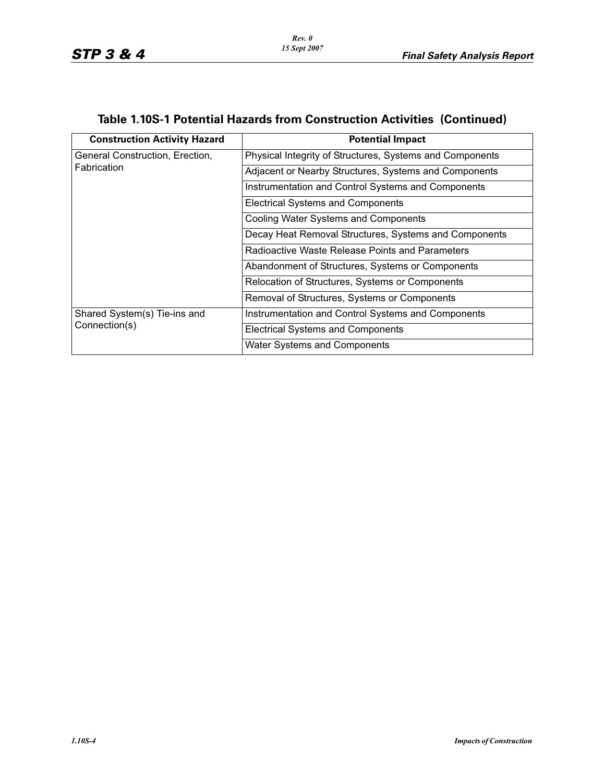| <b>Construction Activity Hazard</b>           | <b>Potential Impact</b>                                  |
|-----------------------------------------------|----------------------------------------------------------|
| General Construction, Erection,               | Physical Integrity of Structures, Systems and Components |
| Fabrication                                   | Adjacent or Nearby Structures, Systems and Components    |
|                                               | Instrumentation and Control Systems and Components       |
|                                               | <b>Electrical Systems and Components</b>                 |
|                                               | <b>Cooling Water Systems and Components</b>              |
|                                               | Decay Heat Removal Structures, Systems and Components    |
|                                               | Radioactive Waste Release Points and Parameters          |
|                                               | Abandonment of Structures, Systems or Components         |
|                                               | Relocation of Structures, Systems or Components          |
|                                               | Removal of Structures, Systems or Components             |
| Shared System(s) Tie-ins and<br>Connection(s) | Instrumentation and Control Systems and Components       |
|                                               | <b>Electrical Systems and Components</b>                 |
|                                               | Water Systems and Components                             |

# **Table 1.10S-1 Potential Hazards from Construction Activities (Continued)**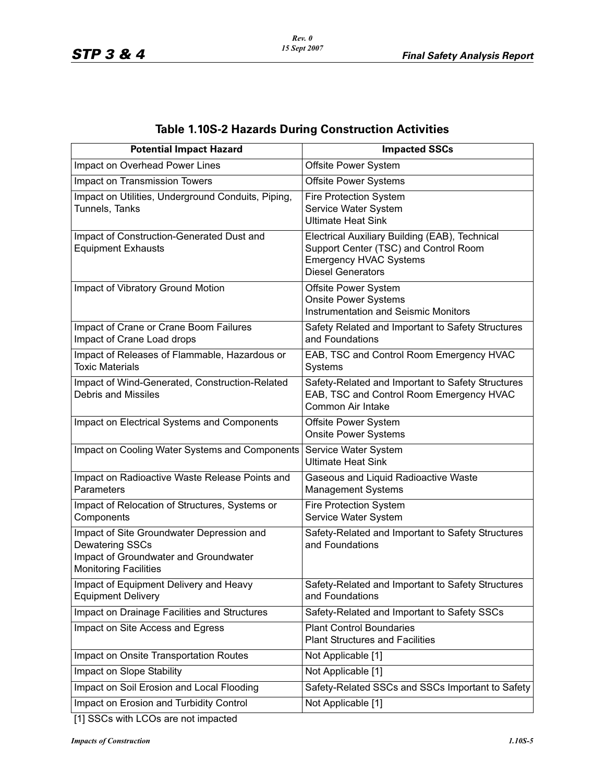| <b>Table 1.10S-2 Hazards During Construction Activities</b> |  |
|-------------------------------------------------------------|--|
|-------------------------------------------------------------|--|

| <b>Potential Impact Hazard</b>                                                                                                               | <b>Impacted SSCs</b>                                                                                                                                 |
|----------------------------------------------------------------------------------------------------------------------------------------------|------------------------------------------------------------------------------------------------------------------------------------------------------|
| Impact on Overhead Power Lines                                                                                                               | Offsite Power System                                                                                                                                 |
| Impact on Transmission Towers                                                                                                                | <b>Offsite Power Systems</b>                                                                                                                         |
| Impact on Utilities, Underground Conduits, Piping,<br>Tunnels, Tanks                                                                         | <b>Fire Protection System</b><br>Service Water System<br><b>Ultimate Heat Sink</b>                                                                   |
| Impact of Construction-Generated Dust and<br><b>Equipment Exhausts</b>                                                                       | Electrical Auxiliary Building (EAB), Technical<br>Support Center (TSC) and Control Room<br><b>Emergency HVAC Systems</b><br><b>Diesel Generators</b> |
| Impact of Vibratory Ground Motion                                                                                                            | Offsite Power System<br><b>Onsite Power Systems</b><br><b>Instrumentation and Seismic Monitors</b>                                                   |
| Impact of Crane or Crane Boom Failures<br>Impact of Crane Load drops                                                                         | Safety Related and Important to Safety Structures<br>and Foundations                                                                                 |
| Impact of Releases of Flammable, Hazardous or<br><b>Toxic Materials</b>                                                                      | EAB, TSC and Control Room Emergency HVAC<br>Systems                                                                                                  |
| Impact of Wind-Generated, Construction-Related<br><b>Debris and Missiles</b>                                                                 | Safety-Related and Important to Safety Structures<br>EAB, TSC and Control Room Emergency HVAC<br>Common Air Intake                                   |
| Impact on Electrical Systems and Components                                                                                                  | Offsite Power System<br><b>Onsite Power Systems</b>                                                                                                  |
| Impact on Cooling Water Systems and Components                                                                                               | Service Water System<br><b>Ultimate Heat Sink</b>                                                                                                    |
| Impact on Radioactive Waste Release Points and<br>Parameters                                                                                 | Gaseous and Liquid Radioactive Waste<br><b>Management Systems</b>                                                                                    |
| Impact of Relocation of Structures, Systems or<br>Components                                                                                 | Fire Protection System<br>Service Water System                                                                                                       |
| Impact of Site Groundwater Depression and<br><b>Dewatering SSCs</b><br>Impact of Groundwater and Groundwater<br><b>Monitoring Facilities</b> | Safety-Related and Important to Safety Structures<br>and Foundations                                                                                 |
| Impact of Equipment Delivery and Heavy<br><b>Equipment Delivery</b>                                                                          | Safety-Related and Important to Safety Structures<br>and Foundations                                                                                 |
| Impact on Drainage Facilities and Structures                                                                                                 | Safety-Related and Important to Safety SSCs                                                                                                          |
| Impact on Site Access and Egress                                                                                                             | <b>Plant Control Boundaries</b><br><b>Plant Structures and Facilities</b>                                                                            |
| Impact on Onsite Transportation Routes                                                                                                       | Not Applicable [1]                                                                                                                                   |
| Impact on Slope Stability                                                                                                                    | Not Applicable [1]                                                                                                                                   |
| Impact on Soil Erosion and Local Flooding                                                                                                    | Safety-Related SSCs and SSCs Important to Safety                                                                                                     |
| Impact on Erosion and Turbidity Control                                                                                                      | Not Applicable [1]                                                                                                                                   |

[1] SSCs with LCOs are not impacted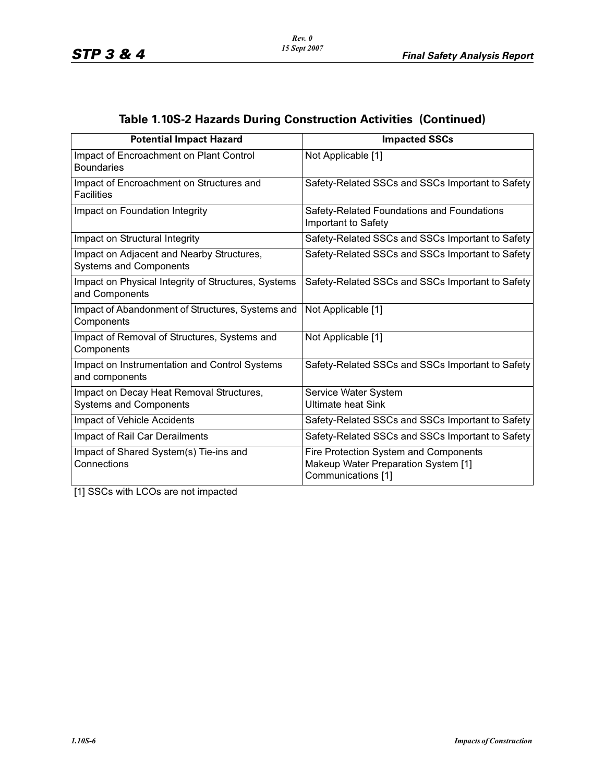| <b>Potential Impact Hazard</b>                                             | <b>Impacted SSCs</b>                                                                               |
|----------------------------------------------------------------------------|----------------------------------------------------------------------------------------------------|
| Impact of Encroachment on Plant Control<br><b>Boundaries</b>               | Not Applicable [1]                                                                                 |
| Impact of Encroachment on Structures and<br><b>Facilities</b>              | Safety-Related SSCs and SSCs Important to Safety                                                   |
| Impact on Foundation Integrity                                             | Safety-Related Foundations and Foundations<br>Important to Safety                                  |
| Impact on Structural Integrity                                             | Safety-Related SSCs and SSCs Important to Safety                                                   |
| Impact on Adjacent and Nearby Structures,<br><b>Systems and Components</b> | Safety-Related SSCs and SSCs Important to Safety                                                   |
| Impact on Physical Integrity of Structures, Systems<br>and Components      | Safety-Related SSCs and SSCs Important to Safety                                                   |
| Impact of Abandonment of Structures, Systems and<br>Components             | Not Applicable [1]                                                                                 |
| Impact of Removal of Structures, Systems and<br>Components                 | Not Applicable [1]                                                                                 |
| Impact on Instrumentation and Control Systems<br>and components            | Safety-Related SSCs and SSCs Important to Safety                                                   |
| Impact on Decay Heat Removal Structures,<br><b>Systems and Components</b>  | Service Water System<br><b>Ultimate heat Sink</b>                                                  |
| Impact of Vehicle Accidents                                                | Safety-Related SSCs and SSCs Important to Safety                                                   |
| Impact of Rail Car Derailments                                             | Safety-Related SSCs and SSCs Important to Safety                                                   |
| Impact of Shared System(s) Tie-ins and<br>Connections                      | Fire Protection System and Components<br>Makeup Water Preparation System [1]<br>Communications [1] |

# **Table 1.10S-2 Hazards During Construction Activities (Continued)**

[1] SSCs with LCOs are not impacted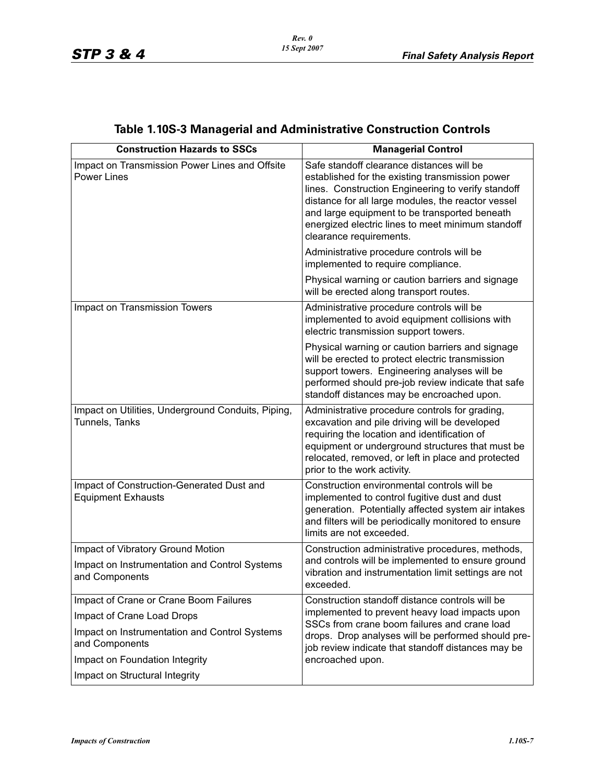| <b>Construction Hazards to SSCs</b>                                                                  | <b>Managerial Control</b>                                                                                                                                                                                                                                                                                                                 |
|------------------------------------------------------------------------------------------------------|-------------------------------------------------------------------------------------------------------------------------------------------------------------------------------------------------------------------------------------------------------------------------------------------------------------------------------------------|
| Impact on Transmission Power Lines and Offsite<br><b>Power Lines</b>                                 | Safe standoff clearance distances will be<br>established for the existing transmission power<br>lines. Construction Engineering to verify standoff<br>distance for all large modules, the reactor vessel<br>and large equipment to be transported beneath<br>energized electric lines to meet minimum standoff<br>clearance requirements. |
|                                                                                                      | Administrative procedure controls will be<br>implemented to require compliance.                                                                                                                                                                                                                                                           |
|                                                                                                      | Physical warning or caution barriers and signage<br>will be erected along transport routes.                                                                                                                                                                                                                                               |
| Impact on Transmission Towers                                                                        | Administrative procedure controls will be<br>implemented to avoid equipment collisions with<br>electric transmission support towers.                                                                                                                                                                                                      |
|                                                                                                      | Physical warning or caution barriers and signage<br>will be erected to protect electric transmission<br>support towers. Engineering analyses will be<br>performed should pre-job review indicate that safe<br>standoff distances may be encroached upon.                                                                                  |
| Impact on Utilities, Underground Conduits, Piping,<br>Tunnels, Tanks                                 | Administrative procedure controls for grading,<br>excavation and pile driving will be developed<br>requiring the location and identification of<br>equipment or underground structures that must be<br>relocated, removed, or left in place and protected<br>prior to the work activity.                                                  |
| Impact of Construction-Generated Dust and<br><b>Equipment Exhausts</b>                               | Construction environmental controls will be<br>implemented to control fugitive dust and dust<br>generation. Potentially affected system air intakes<br>and filters will be periodically monitored to ensure<br>limits are not exceeded.                                                                                                   |
| Impact of Vibratory Ground Motion<br>Impact on Instrumentation and Control Systems<br>and Components | Construction administrative procedures, methods,<br>and controls will be implemented to ensure ground<br>vibration and instrumentation limit settings are not<br>exceeded.                                                                                                                                                                |
| Impact of Crane or Crane Boom Failures                                                               | Construction standoff distance controls will be                                                                                                                                                                                                                                                                                           |
| Impact of Crane Load Drops                                                                           | implemented to prevent heavy load impacts upon<br>SSCs from crane boom failures and crane load                                                                                                                                                                                                                                            |
| Impact on Instrumentation and Control Systems<br>and Components                                      | drops. Drop analyses will be performed should pre-<br>job review indicate that standoff distances may be                                                                                                                                                                                                                                  |
| Impact on Foundation Integrity                                                                       | encroached upon.                                                                                                                                                                                                                                                                                                                          |
| Impact on Structural Integrity                                                                       |                                                                                                                                                                                                                                                                                                                                           |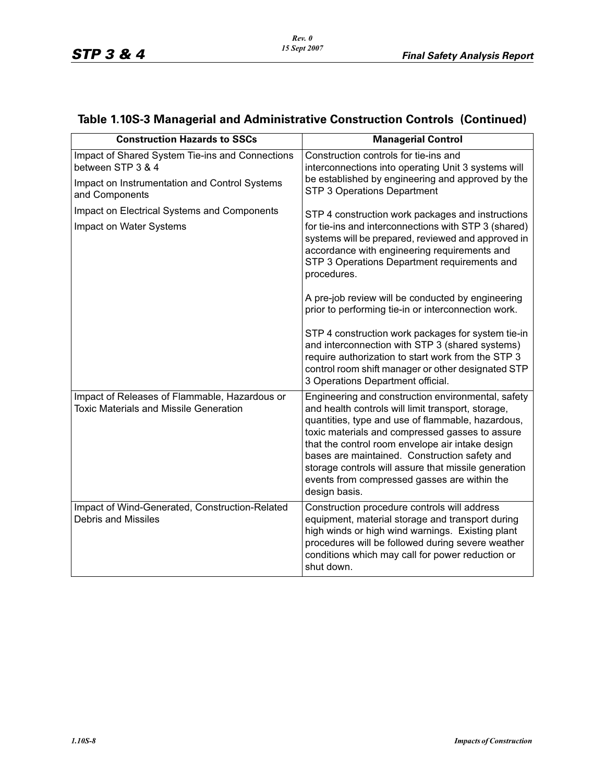| <b>Construction Hazards to SSCs</b>                                                                                                                                                                               | <b>Managerial Control</b>                                                                                                                                                                                                                                                                                                                                                                                                                           |
|-------------------------------------------------------------------------------------------------------------------------------------------------------------------------------------------------------------------|-----------------------------------------------------------------------------------------------------------------------------------------------------------------------------------------------------------------------------------------------------------------------------------------------------------------------------------------------------------------------------------------------------------------------------------------------------|
| Impact of Shared System Tie-ins and Connections<br>between STP 3 & 4<br>Impact on Instrumentation and Control Systems<br>and Components<br>Impact on Electrical Systems and Components<br>Impact on Water Systems | Construction controls for tie-ins and<br>interconnections into operating Unit 3 systems will<br>be established by engineering and approved by the<br>STP 3 Operations Department<br>STP 4 construction work packages and instructions<br>for tie-ins and interconnections with STP 3 (shared)<br>systems will be prepared, reviewed and approved in<br>accordance with engineering requirements and<br>STP 3 Operations Department requirements and |
|                                                                                                                                                                                                                   | procedures.<br>A pre-job review will be conducted by engineering<br>prior to performing tie-in or interconnection work.<br>STP 4 construction work packages for system tie-in<br>and interconnection with STP 3 (shared systems)<br>require authorization to start work from the STP 3<br>control room shift manager or other designated STP<br>3 Operations Department official.                                                                   |
| Impact of Releases of Flammable, Hazardous or<br><b>Toxic Materials and Missile Generation</b>                                                                                                                    | Engineering and construction environmental, safety<br>and health controls will limit transport, storage,<br>quantities, type and use of flammable, hazardous,<br>toxic materials and compressed gasses to assure<br>that the control room envelope air intake design<br>bases are maintained. Construction safety and<br>storage controls will assure that missile generation<br>events from compressed gasses are within the<br>design basis.      |
| Impact of Wind-Generated, Construction-Related<br><b>Debris and Missiles</b>                                                                                                                                      | Construction procedure controls will address<br>equipment, material storage and transport during<br>high winds or high wind warnings. Existing plant<br>procedures will be followed during severe weather<br>conditions which may call for power reduction or<br>shut down.                                                                                                                                                                         |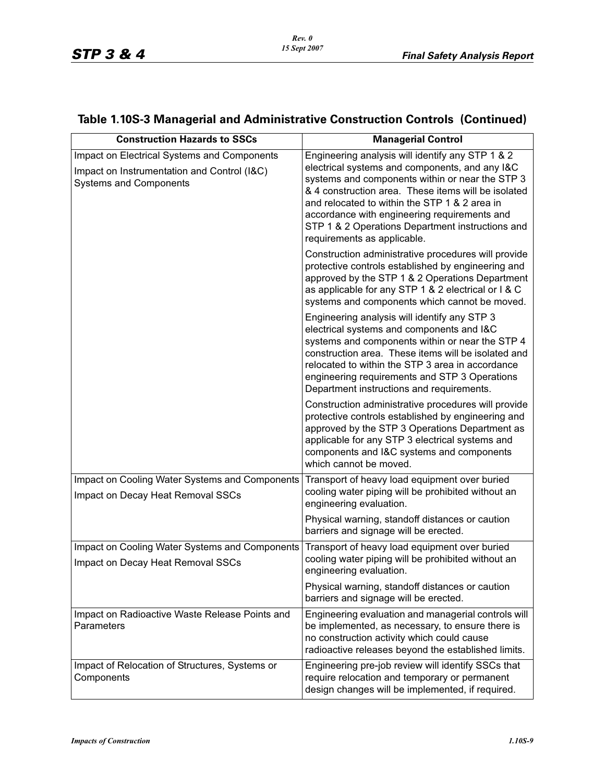| <b>Construction Hazards to SSCs</b>                                                                                         | <b>Managerial Control</b>                                                                                                                                                                                                                                                                                                                                                                        |
|-----------------------------------------------------------------------------------------------------------------------------|--------------------------------------------------------------------------------------------------------------------------------------------------------------------------------------------------------------------------------------------------------------------------------------------------------------------------------------------------------------------------------------------------|
| Impact on Electrical Systems and Components<br>Impact on Instrumentation and Control (I&C)<br><b>Systems and Components</b> | Engineering analysis will identify any STP 1 & 2<br>electrical systems and components, and any I&C<br>systems and components within or near the STP 3<br>& 4 construction area. These items will be isolated<br>and relocated to within the STP 1 & 2 area in<br>accordance with engineering requirements and<br>STP 1 & 2 Operations Department instructions and<br>requirements as applicable. |
|                                                                                                                             | Construction administrative procedures will provide<br>protective controls established by engineering and<br>approved by the STP 1 & 2 Operations Department<br>as applicable for any STP 1 & 2 electrical or I & C<br>systems and components which cannot be moved.                                                                                                                             |
|                                                                                                                             | Engineering analysis will identify any STP 3<br>electrical systems and components and I&C<br>systems and components within or near the STP 4<br>construction area. These items will be isolated and<br>relocated to within the STP 3 area in accordance<br>engineering requirements and STP 3 Operations<br>Department instructions and requirements.                                            |
|                                                                                                                             | Construction administrative procedures will provide<br>protective controls established by engineering and<br>approved by the STP 3 Operations Department as<br>applicable for any STP 3 electrical systems and<br>components and I&C systems and components<br>which cannot be moved.                                                                                                            |
| Impact on Cooling Water Systems and Components<br>Impact on Decay Heat Removal SSCs                                         | Transport of heavy load equipment over buried<br>cooling water piping will be prohibited without an<br>engineering evaluation.                                                                                                                                                                                                                                                                   |
|                                                                                                                             | Physical warning, standoff distances or caution<br>barriers and signage will be erected.                                                                                                                                                                                                                                                                                                         |
| Impact on Cooling Water Systems and Components<br>Impact on Decay Heat Removal SSCs                                         | Transport of heavy load equipment over buried<br>cooling water piping will be prohibited without an<br>engineering evaluation.                                                                                                                                                                                                                                                                   |
|                                                                                                                             | Physical warning, standoff distances or caution<br>barriers and signage will be erected.                                                                                                                                                                                                                                                                                                         |
| Impact on Radioactive Waste Release Points and<br>Parameters                                                                | Engineering evaluation and managerial controls will<br>be implemented, as necessary, to ensure there is<br>no construction activity which could cause<br>radioactive releases beyond the established limits.                                                                                                                                                                                     |
| Impact of Relocation of Structures, Systems or<br>Components                                                                | Engineering pre-job review will identify SSCs that<br>require relocation and temporary or permanent<br>design changes will be implemented, if required.                                                                                                                                                                                                                                          |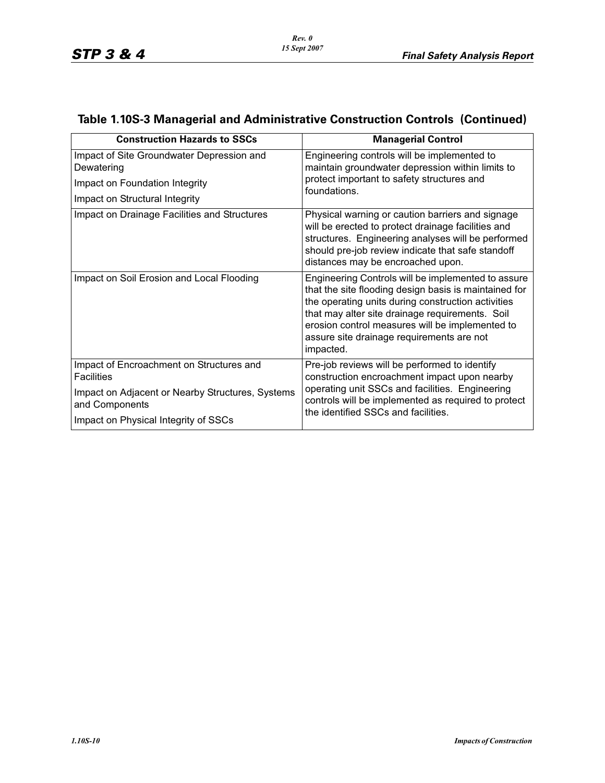| <b>Construction Hazards to SSCs</b>                                                                                                                                         | <b>Managerial Control</b>                                                                                                                                                                                                                                                                                                         |
|-----------------------------------------------------------------------------------------------------------------------------------------------------------------------------|-----------------------------------------------------------------------------------------------------------------------------------------------------------------------------------------------------------------------------------------------------------------------------------------------------------------------------------|
| Impact of Site Groundwater Depression and<br>Dewatering<br>Impact on Foundation Integrity<br>Impact on Structural Integrity                                                 | Engineering controls will be implemented to<br>maintain groundwater depression within limits to<br>protect important to safety structures and<br>foundations.                                                                                                                                                                     |
| Impact on Drainage Facilities and Structures                                                                                                                                | Physical warning or caution barriers and signage<br>will be erected to protect drainage facilities and<br>structures. Engineering analyses will be performed<br>should pre-job review indicate that safe standoff<br>distances may be encroached upon.                                                                            |
| Impact on Soil Erosion and Local Flooding                                                                                                                                   | Engineering Controls will be implemented to assure<br>that the site flooding design basis is maintained for<br>the operating units during construction activities<br>that may alter site drainage requirements. Soil<br>erosion control measures will be implemented to<br>assure site drainage requirements are not<br>impacted. |
| Impact of Encroachment on Structures and<br><b>Facilities</b><br>Impact on Adjacent or Nearby Structures, Systems<br>and Components<br>Impact on Physical Integrity of SSCs | Pre-job reviews will be performed to identify<br>construction encroachment impact upon nearby<br>operating unit SSCs and facilities. Engineering<br>controls will be implemented as required to protect<br>the identified SSCs and facilities.                                                                                    |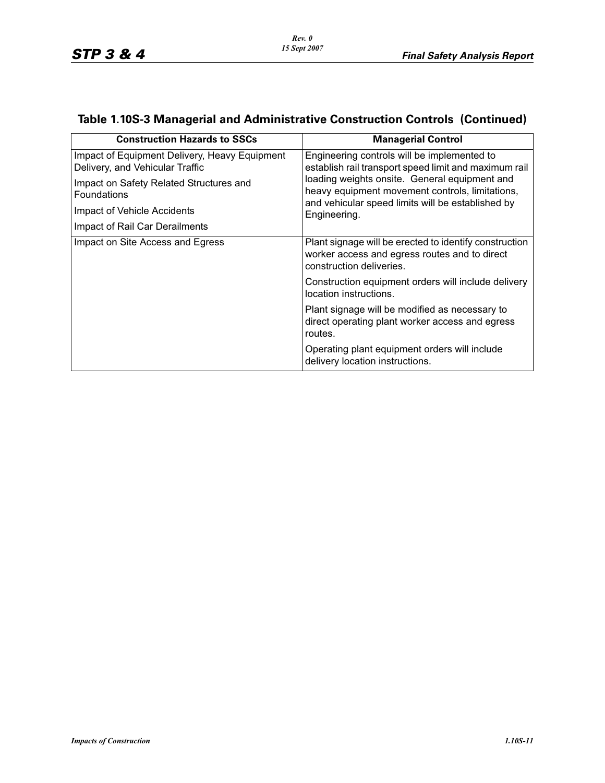| <b>Construction Hazards to SSCs</b>                                              | <b>Managerial Control</b>                                                                                                           |
|----------------------------------------------------------------------------------|-------------------------------------------------------------------------------------------------------------------------------------|
| Impact of Equipment Delivery, Heavy Equipment<br>Delivery, and Vehicular Traffic | Engineering controls will be implemented to<br>establish rail transport speed limit and maximum rail                                |
| Impact on Safety Related Structures and<br><b>Foundations</b>                    | loading weights onsite. General equipment and<br>heavy equipment movement controls, limitations,                                    |
| Impact of Vehicle Accidents                                                      | and vehicular speed limits will be established by<br>Engineering.                                                                   |
| Impact of Rail Car Derailments                                                   |                                                                                                                                     |
| Impact on Site Access and Egress                                                 | Plant signage will be erected to identify construction<br>worker access and egress routes and to direct<br>construction deliveries. |
|                                                                                  | Construction equipment orders will include delivery<br>location instructions.                                                       |
|                                                                                  | Plant signage will be modified as necessary to<br>direct operating plant worker access and egress<br>routes.                        |
|                                                                                  | Operating plant equipment orders will include<br>delivery location instructions.                                                    |